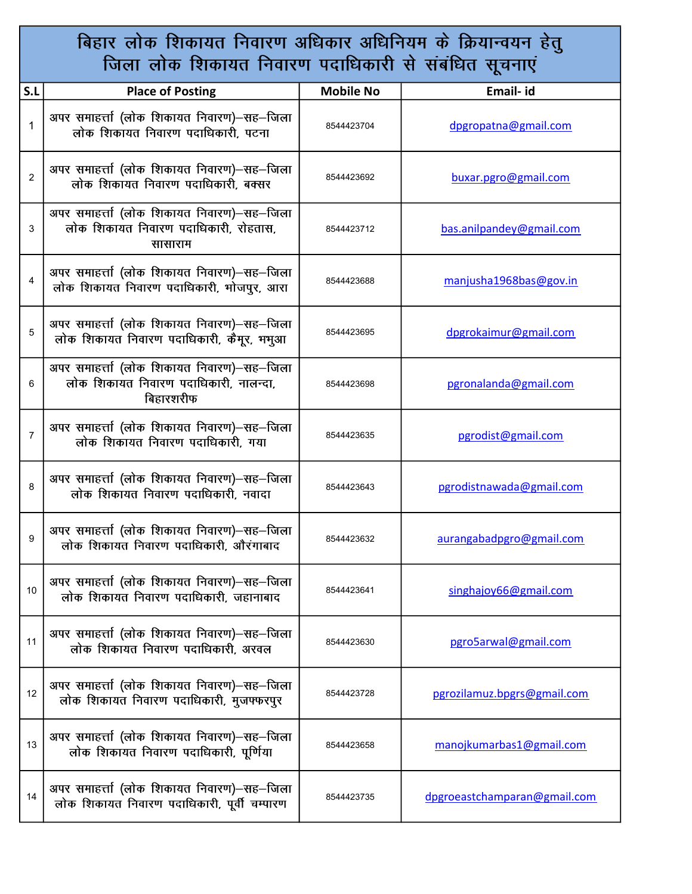## बिहार लोक शिकायत निवारण अधिकार अधिनियम के क्रियान्वयन हेतु<br>जिला लोक शिकायत निवारण पदाधिकारी से संबंधित सूचनाएं

| S.L            | <b>Place of Posting</b>                                                                          | <b>Mobile No</b> | Email- id                    |
|----------------|--------------------------------------------------------------------------------------------------|------------------|------------------------------|
| 1              | अपर समाहर्त्ता (लोक शिकायत निवारण)–सह–जिला<br>लोक शिकायत निवारण पदाधिकारी, पटना                  | 8544423704       | dpgropatna@gmail.com         |
| $\overline{c}$ | अपर समाहर्त्ता (लोक शिकायत निवारण)–सह–जिला<br>लोक शिकायत निवारण पदाधिकारी. बक्सर                 | 8544423692       | buxar.pgro@gmail.com         |
| 3              | अपर समाहर्त्ता (लोक शिकायत निवारण)–सह–जिला<br>लोक शिकायत निवारण पदाधिकारी, रोहतास,<br>सासाराम    | 8544423712       | bas.anilpandey@gmail.com     |
| 4              | अपर समाहर्त्ता (लोक शिकायत निवारण)–सह–जिला<br>लोक शिकायत निवारण पदाधिकारी, भोजपुर, आरा           | 8544423688       | manjusha1968bas@gov.in       |
| 5              | अपर समाहर्त्ता (लोक शिकायत निवारण)—सह—जिला<br>लोक शिकायत निवारण पदाधिकारी, कैमूर, भभुआ           | 8544423695       | dpgrokaimur@gmail.com        |
| 6              | अपर समाहर्त्ता (लोक शिकायत निवारण)–सह–जिला<br>लोक शिकायत निवारण पदाधिकारी, नालन्दा,<br>बिहारशरीफ | 8544423698       | pgronalanda@gmail.com        |
| $\overline{7}$ | अपर समाहर्त्ता (लोक शिकायत निवारण)–सह–जिला<br>लोक शिकायत निवारण पदाधिकारी, गया                   | 8544423635       | pgrodist@gmail.com           |
| 8              | अपर समाहर्त्ता (लोक शिकायत निवारण)–सह–जिला<br>लोक शिकायत निवारण पदाधिकारी, नवादा                 | 8544423643       | pgrodistnawada@gmail.com     |
| 9              | अपर समाहर्त्ता (लोक शिकायत निवारण)–सह–जिला<br>लोक शिकायत निवारण पदाधिकारी, औरंगाबाद              | 8544423632       | aurangabadpgro@gmail.com     |
| 10             | अपर समाहर्त्ता (लोक शिकायत निवारण)–सह–जिला<br>लोक शिकायत निवारण पदाधिकारी, जहानाबाद              | 8544423641       | singhajoy66@gmail.com        |
| 11             | अपर समाहर्त्ता (लोक शिकायत निवारण)–सह–जिला<br>लोक शिकायत निवारण पदाधिकारी. अरवल                  | 8544423630       | pgro5arwal@gmail.com         |
| 12             | अपर समाहर्त्ता (लोक शिकायत निवारण)–सह–जिला<br>लोक शिकायत निवारण पदाधिकारी, मुजफ्फरपुर            | 8544423728       | pgrozilamuz.bpgrs@gmail.com  |
| 13             | अपर समाहर्त्ता (लोक शिकायत निवारण)–सह–जिला<br>लोक शिकायत निवारण पदाधिकारी, पूर्णिया              | 8544423658       | manojkumarbas1@gmail.com     |
| 14             | अपर समाहर्त्ता (लोक शिकायत निवारण)–सह–जिला<br>लोक शिकायत निवारण पदाधिकारी, पूर्वी चम्पारण        | 8544423735       | dpgroeastchamparan@gmail.com |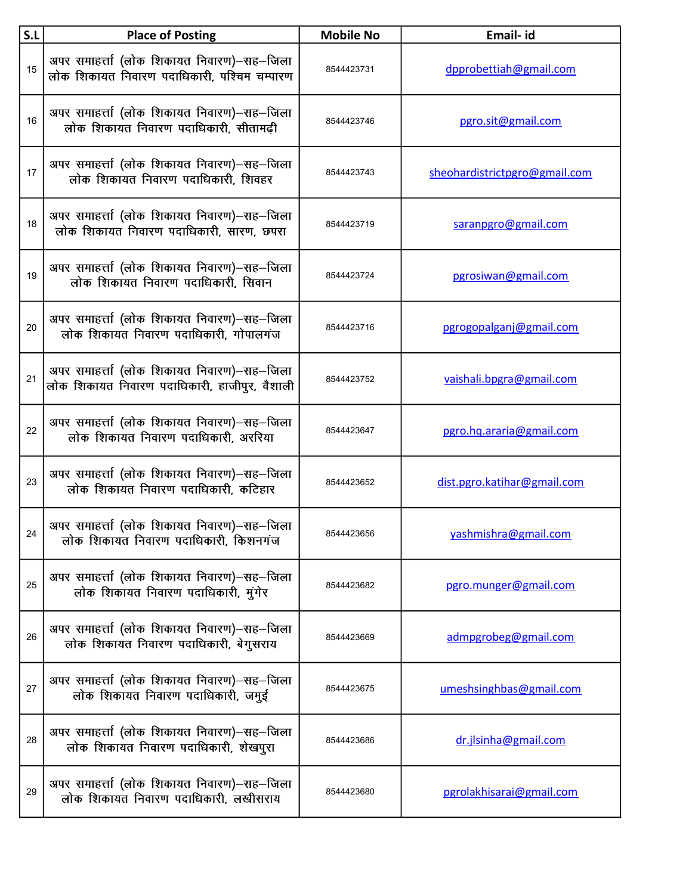| S.L | <b>Place of Posting</b>                                                                    | <b>Mobile No</b> | Email- id                     |
|-----|--------------------------------------------------------------------------------------------|------------------|-------------------------------|
| 15  | अपर समाहर्त्ता (लोक शिकायत निवारण)-सह-जिला<br>लोक शिकायत निवारण पदाधिकारी, पश्चिम चम्पारण  | 8544423731       | dpprobettiah@gmail.com        |
| 16  | अपर समाहर्त्ता (लोक शिकायत निवारण)–सह–जिला<br>लोक शिकायत निवारण पदाधिकारी, सीतामढी         | 8544423746       | pgro.sit@gmail.com            |
| 17  | अपर समाहर्त्ता (लोक शिकायत निवारण)–सह–जिला<br>लोक शिकायत निवारण पदाधिकारी, शिवहर           | 8544423743       | sheohardistrictpgro@gmail.com |
| 18  | अपर समाहर्त्ता (लोक शिकायत निवारण)–सह–जिला<br>लोक शिकायत निवारण पदाधिकारी, सारण, छपरा      | 8544423719       | saranpgro@gmail.com           |
| 19  | अपर समाहर्त्ता (लोक शिकायत निवारण)–सह–जिला<br>लोक शिकायत निवारण पदाधिकारी. सिवान           | 8544423724       | pgrosiwan@gmail.com           |
| 20  | अपर समाहर्त्ता (लोक शिकायत निवारण)–सह–जिला<br>लोक शिकायत निवारण पदाधिकारी. गोपालगंज        | 8544423716       | pgrogopalganj@gmail.com       |
| 21  | अपर समाहर्त्ता (लोक शिकायत निवारण)–सह–जिला<br>लोक शिकायत निवारण पदाधिकारी, हाजीपुर, वैशाली | 8544423752       | vaishali.bpgra@gmail.com      |
| 22  | अपर समाहर्त्ता (लोक शिकायत निवारण)–सह–जिला<br>लोक शिकायत निवारण पदाधिकारी. अररिया          | 8544423647       | pgro.hq.araria@gmail.com      |
| 23  | अपर समाहर्त्ता (लोक शिकायत निवारण)–सह–जिला<br>लोक शिकायत निवारण पदाधिकारी, कटिहार          | 8544423652       | dist.pgro.katihar@gmail.com   |
| 24  | अपर समाहर्त्ता (लोक शिकायत निवारण)-सह-जिला<br>लोक शिकायत निवारण पदाधिकारी, किशनगंज         | 8544423656       | yashmishra@gmail.com          |
| 25  | अपर समाहर्त्ता (लोक शिकायत निवारण)–सह–जिला<br>लोक शिकायत निवारण पदाधिकारी, मुंगेर          | 8544423682       | pgro.munger@gmail.com         |
| 26  | अपर समाहर्त्ता (लोक शिकायत निवारण)–सह–जिला<br>लोक शिकायत निवारण पदाधिकारी, बेगुसराय        | 8544423669       | admpgrobeg@gmail.com          |
| 27  | अपर समाहर्त्ता (लोक शिकायत निवारण)–सह–जिला<br>लोक शिकायत निवारण पदाधिकारी, जमुई            | 8544423675       | umeshsinghbas@gmail.com       |
| 28  | अपर समाहर्त्ता (लोक शिकायत निवारण)–सह–जिला<br>लोक शिकायत निवारण पदाधिकारी, शेखपुरा         | 8544423686       | dr.jlsinha@gmail.com          |
| 29  | अपर समाहर्त्ता (लोक शिकायत निवारण)–सह–जिला<br>लोक शिकायत निवारण पदाधिकारी, लखीसराय         | 8544423680       | pgrolakhisarai@gmail.com      |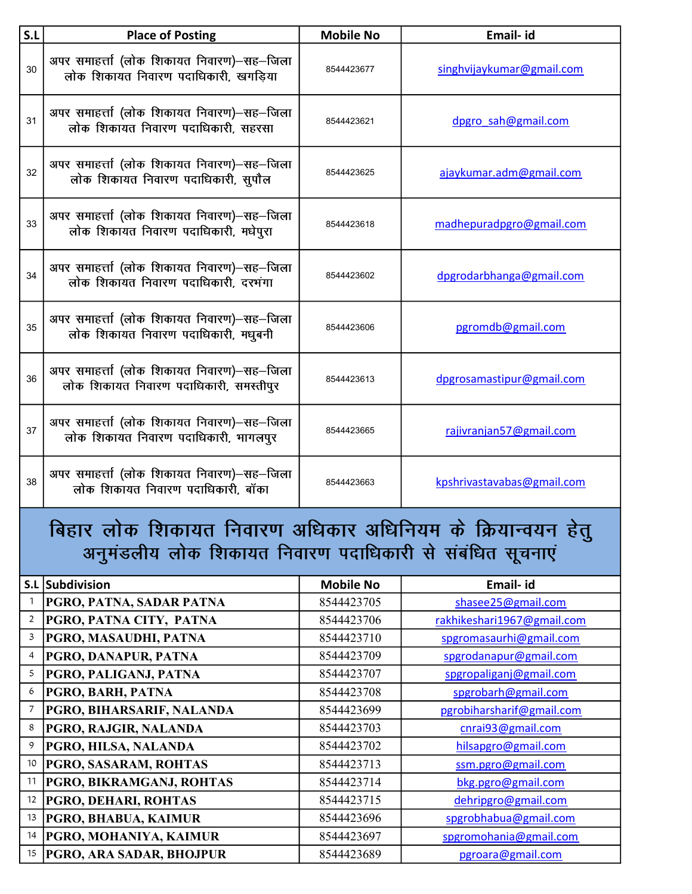| S.L | <b>Place of Posting</b>                                                              | <b>Mobile No</b> | Email- id                  |
|-----|--------------------------------------------------------------------------------------|------------------|----------------------------|
| 30  | अपर समाहर्त्ता (लोक शिकायत निवारण)–सह–जिला<br>लोक शिकायत निवारण पदाधिकारी, खगडिया    | 8544423677       | singhvijaykumar@gmail.com  |
| 31  | अपर समाहर्त्ता (लोक शिकायत निवारण)–सह–जिला<br>लोक शिकायत निवारण पदाधिकारी. सहरसा     | 8544423621       | dpgro sah@gmail.com        |
| 32  | अपर समाहर्त्ता (लोक शिकायत निवारण)–सह–जिला<br>लोक शिकायत निवारण पदाधिकारी, सुपौल     | 8544423625       | ajaykumar.adm@gmail.com    |
| 33  | अपर समाहर्त्ता (लोक शिकायत निवारण)–सह–जिला<br>लोक शिकायत निवारण पदाधिकारी, मधेपुरा   | 8544423618       | madhepuradpgro@gmail.com   |
| 34  | अपर समाहर्त्ता (लोक शिकायत निवारण)–सह–जिला<br>लोक शिकायत निवारण पदाधिकारी, दरभंगा    | 8544423602       | dpgrodarbhanga@gmail.com   |
| 35  | अपर समाहर्त्ता (लोक शिकायत निवारण)–सह–जिला<br>लोक शिकायत निवारण पदाधिकारी, मधुबनी    | 8544423606       | pgromdb@gmail.com          |
| 36  | अपर समाहर्त्ता (लोक शिकायत निवारण)–सह–जिला<br>लोक शिकायत निवारण पदाधिकारी, समस्तीपुर | 8544423613       | dpgrosamastipur@gmail.com  |
| 37  | अपर समाहर्त्ता (लोक शिकायत निवारण)–सह–जिला<br>लोक शिकायत निवारण पदाधिकारी, भागलपुर   | 8544423665       | rajivranjan57@gmail.com    |
| 38  | अपर समाहर्त्ता (लोक शिकायत निवारण)–सह–जिला<br>लोक शिकायत निवारण पदाधिकारी. बॉका      | 8544423663       | kpshrivastavabas@gmail.com |

## बिहार लोक शिकायत निवारण अधिकार अधिनियम के क्रियान्वयन हेतु अनुमंडलीय लोक शिकायत निवारण पदाधिकारी से संबंधित सूचनाएं

|                | S.L Subdivision                 | <b>Mobile No</b> | Email- id                  |
|----------------|---------------------------------|------------------|----------------------------|
|                | PGRO, PATNA, SADAR PATNA        | 8544423705       | shasee25@gmail.com         |
| $\overline{2}$ | PGRO, PATNA CITY, PATNA         | 8544423706       | rakhikeshari1967@gmail.com |
| 3              | PGRO, MASAUDHI, PATNA           | 8544423710       | spgromasaurhi@gmail.com    |
| 4              | PGRO, DANAPUR, PATNA            | 8544423709       | spgrodanapur@gmail.com     |
| 5              | PGRO, PALIGANJ, PATNA           | 8544423707       | spgropaliganj@gmail.com    |
| 6              | PGRO, BARH, PATNA               | 8544423708       | spgrobarh@gmail.com        |
|                | PGRO, BIHARSARIF, NALANDA       | 8544423699       | pgrobiharsharif@gmail.com  |
| 8              | PGRO, RAJGIR, NALANDA           | 8544423703       | cnrai93@gmail.com          |
| 9              | <b>PGRO, HILSA, NALANDA</b>     | 8544423702       | hilsapgro@gmail.com        |
| 10             | <b>PGRO, SASARAM, ROHTAS</b>    | 8544423713       | ssm.pgro@gmail.com         |
| 11             | PGRO, BIKRAMGANJ, ROHTAS        | 8544423714       | bkg.pgro@gmail.com         |
| 12             | <b>PGRO, DEHARI, ROHTAS</b>     | 8544423715       | dehripgro@gmail.com        |
| 13             | <b>PGRO, BHABUA, KAIMUR</b>     | 8544423696       | spgrobhabua@gmail.com      |
| 14             | PGRO, MOHANIYA, KAIMUR          | 8544423697       | spgromohania@gmail.com     |
| 15             | <b>PGRO, ARA SADAR, BHOJPUR</b> | 8544423689       | pgroara@gmail.com          |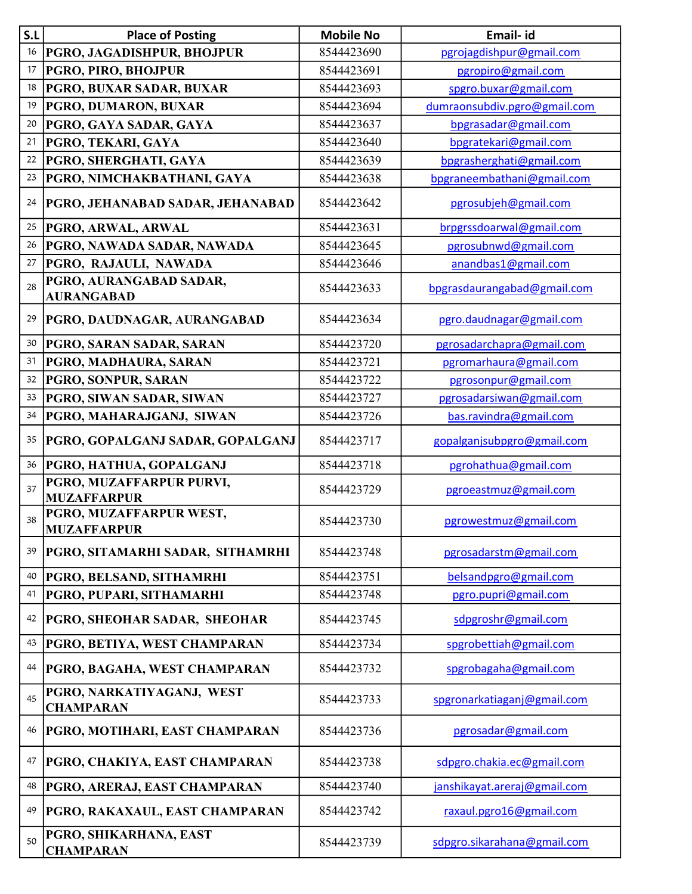| S.L | <b>Place of Posting</b>                        | <b>Mobile No</b> | Email- id                    |
|-----|------------------------------------------------|------------------|------------------------------|
| 16  | <b>PGRO, JAGADISHPUR, BHOJPUR</b>              | 8544423690       | pgrojagdishpur@gmail.com     |
| 17  | PGRO, PIRO, BHOJPUR                            | 8544423691       | pgropiro@gmail.com           |
| 18  | PGRO, BUXAR SADAR, BUXAR                       | 8544423693       | spgro.buxar@gmail.com        |
| 19  | PGRO, DUMARON, BUXAR                           | 8544423694       | dumraonsubdiv.pgro@gmail.com |
| 20  | PGRO, GAYA SADAR, GAYA                         | 8544423637       | bpgrasadar@gmail.com         |
| 21  | PGRO, TEKARI, GAYA                             | 8544423640       | bpgratekari@gmail.com        |
| 22  | PGRO, SHERGHATI, GAYA                          | 8544423639       | bpgrasherghati@gmail.com     |
| 23  | PGRO, NIMCHAKBATHANI, GAYA                     | 8544423638       | bpgraneembathani@gmail.com   |
| 24  | <b>PGRO, JEHANABAD SADAR, JEHANABAD</b>        | 8544423642       | pgrosubjeh@gmail.com         |
| 25  | PGRO, ARWAL, ARWAL                             | 8544423631       | brpgrssdoarwal@gmail.com     |
| 26  | PGRO, NAWADA SADAR, NAWADA                     | 8544423645       | pgrosubnwd@gmail.com         |
| 27  | PGRO, RAJAULI, NAWADA                          | 8544423646       | anandbas1@gmail.com          |
| 28  | PGRO, AURANGABAD SADAR,<br><b>AURANGABAD</b>   | 8544423633       | bpgrasdaurangabad@gmail.com  |
| 29  | PGRO, DAUDNAGAR, AURANGABAD                    | 8544423634       | pgro.daudnagar@gmail.com     |
| 30  | PGRO, SARAN SADAR, SARAN                       | 8544423720       | pgrosadarchapra@gmail.com    |
| 31  | PGRO, MADHAURA, SARAN                          | 8544423721       | pgromarhaura@gmail.com       |
| 32  | PGRO, SONPUR, SARAN                            | 8544423722       | pgrosonpur@gmail.com         |
| 33  | PGRO, SIWAN SADAR, SIWAN                       | 8544423727       | pgrosadarsiwan@gmail.com     |
| 34  | PGRO, MAHARAJGANJ, SIWAN                       | 8544423726       | bas.ravindra@gmail.com       |
| 35  | PGRO, GOPALGANJ SADAR, GOPALGANJ               | 8544423717       | gopalganjsubpgro@gmail.com   |
| 36  | PGRO, HATHUA, GOPALGANJ                        | 8544423718       | pgrohathua@gmail.com         |
| 37  | PGRO, MUZAFFARPUR PURVI,<br><b>MUZAFFARPUR</b> | 8544423729       | pgroeastmuz@gmail.com        |
| 38  | PGRO, MUZAFFARPUR WEST,<br><b>MUZAFFARPUR</b>  | 8544423730       | pgrowestmuz@gmail.com        |
| 39  | PGRO, SITAMARHI SADAR, SITHAMRHI               | 8544423748       | pgrosadarstm@gmail.com       |
| 40  | <b>PGRO, BELSAND, SITHAMRHI</b>                | 8544423751       | belsandpgro@gmail.com        |
| 41  | PGRO, PUPARI, SITHAMARHI                       | 8544423748       | pgro.pupri@gmail.com         |
| 42  | PGRO, SHEOHAR SADAR, SHEOHAR                   | 8544423745       | sdpgroshr@gmail.com          |
| 43  | PGRO, BETIYA, WEST CHAMPARAN                   | 8544423734       | spgrobettiah@gmail.com       |
| 44  | PGRO, BAGAHA, WEST CHAMPARAN                   | 8544423732       | spgrobagaha@gmail.com        |
| 45  | PGRO, NARKATIYAGANJ, WEST<br><b>CHAMPARAN</b>  | 8544423733       | spgronarkatiaganj@gmail.com  |
| 46  | PGRO, MOTIHARI, EAST CHAMPARAN                 | 8544423736       | pgrosadar@gmail.com          |
| 47  | PGRO, CHAKIYA, EAST CHAMPARAN                  | 8544423738       | sdpgro.chakia.ec@gmail.com   |
| 48  | PGRO, ARERAJ, EAST CHAMPARAN                   | 8544423740       | janshikayat.areraj@gmail.com |
| 49  | PGRO, RAKAXAUL, EAST CHAMPARAN                 | 8544423742       | raxaul.pgro16@gmail.com      |
| 50  | PGRO, SHIKARHANA, EAST<br><b>CHAMPARAN</b>     | 8544423739       | sdpgro.sikarahana@gmail.com  |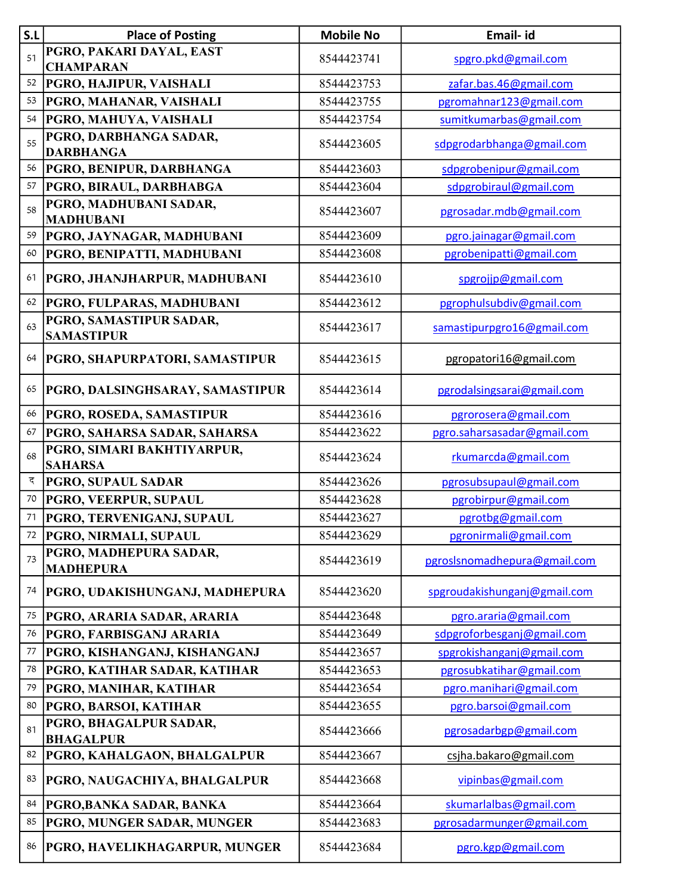| S.L | <b>Place of Posting</b>                      | <b>Mobile No</b> | Email- id                    |
|-----|----------------------------------------------|------------------|------------------------------|
| 51  | PGRO, PAKARI DAYAL, EAST<br><b>CHAMPARAN</b> | 8544423741       | spgro.pkd@gmail.com          |
| 52  | <b>PGRO, HAJIPUR, VAISHALI</b>               | 8544423753       | zafar.bas.46@gmail.com       |
| 53  | PGRO, MAHANAR, VAISHALI                      | 8544423755       | pgromahnar123@gmail.com      |
| 54  | PGRO, MAHUYA, VAISHALI                       | 8544423754       | sumitkumarbas@gmail.com      |
| 55  | PGRO, DARBHANGA SADAR,<br><b>DARBHANGA</b>   | 8544423605       | sdpgrodarbhanga@gmail.com    |
| 56  | <b>PGRO, BENIPUR, DARBHANGA</b>              | 8544423603       | sdpgrobenipur@gmail.com      |
| 57  | <b>PGRO, BIRAUL, DARBHABGA</b>               | 8544423604       | sdpgrobiraul@gmail.com       |
| 58  | PGRO, MADHUBANI SADAR,<br><b>MADHUBANI</b>   | 8544423607       | pgrosadar.mdb@gmail.com      |
| 59  | <b>PGRO, JAYNAGAR, MADHUBANI</b>             | 8544423609       | pgro.jainagar@gmail.com      |
| 60  | PGRO, BENIPATTI, MADHUBANI                   | 8544423608       | pgrobenipatti@gmail.com      |
| 61  | <b>PGRO, JHANJHARPUR, MADHUBANI</b>          | 8544423610       | spgrojjp@gmail.com           |
| 62  | PGRO, FULPARAS, MADHUBANI                    | 8544423612       | pgrophulsubdiv@gmail.com     |
| 63  | PGRO, SAMASTIPUR SADAR,<br><b>SAMASTIPUR</b> | 8544423617       | samastipurpgro16@gmail.com   |
| 64  | <b>PGRO, SHAPURPATORI, SAMASTIPUR</b>        | 8544423615       | pgropatori16@gmail.com       |
| 65  | <b>PGRO, DALSINGHSARAY, SAMASTIPUR</b>       | 8544423614       | pgrodalsingsarai@gmail.com   |
| 66  | <b>PGRO, ROSEDA, SAMASTIPUR</b>              | 8544423616       | pgrorosera@gmail.com         |
| 67  | PGRO, SAHARSA SADAR, SAHARSA                 | 8544423622       | pgro.saharsasadar@gmail.com  |
| 68  | PGRO, SIMARI BAKHTIYARPUR,<br><b>SAHARSA</b> | 8544423624       | rkumarcda@gmail.com          |
| द   | <b>PGRO, SUPAUL SADAR</b>                    | 8544423626       | pgrosubsupaul@gmail.com      |
| 70  | <b>PGRO, VEERPUR, SUPAUL</b>                 | 8544423628       | pgrobirpur@gmail.com         |
| 71  | PGRO, TERVENIGANJ, SUPAUL                    | 8544423627       | pgrotbg@gmail.com            |
| 72  | <b>PGRO, NIRMALI, SUPAUL</b>                 | 8544423629       | pgronirmali@gmail.com        |
| 73  | PGRO, MADHEPURA SADAR,<br><b>MADHEPURA</b>   | 8544423619       | pgroslsnomadhepura@gmail.com |
| 74  | PGRO, UDAKISHUNGANJ, MADHEPURA               | 8544423620       | spgroudakishunganj@gmail.com |
| 75  | PGRO, ARARIA SADAR, ARARIA                   | 8544423648       | pgro.araria@gmail.com        |
| 76  | PGRO, FARBISGANJ ARARIA                      | 8544423649       | sdpgroforbesganj@gmail.com   |
| 77  | PGRO, KISHANGANJ, KISHANGANJ                 | 8544423657       | spgrokishanganj@gmail.com    |
| 78  | PGRO, KATIHAR SADAR, KATIHAR                 | 8544423653       | pgrosubkatihar@gmail.com     |
| 79  | PGRO, MANIHAR, KATIHAR                       | 8544423654       | pgro.manihari@gmail.com      |
| 80  | PGRO, BARSOI, KATIHAR                        | 8544423655       | pgro.barsoi@gmail.com        |
| 81  | PGRO, BHAGALPUR SADAR,<br><b>BHAGALPUR</b>   | 8544423666       | pgrosadarbgp@gmail.com       |
| 82  | PGRO, KAHALGAON, BHALGALPUR                  | 8544423667       | csjha.bakaro@gmail.com       |
| 83  | PGRO, NAUGACHIYA, BHALGALPUR                 | 8544423668       | vipinbas@gmail.com           |
| 84  | PGRO, BANKA SADAR, BANKA                     | 8544423664       | skumarlalbas@gmail.com       |
| 85  | PGRO, MUNGER SADAR, MUNGER                   | 8544423683       | pgrosadarmunger@gmail.com    |
| 86  | <b>PGRO, HAVELIKHAGARPUR, MUNGER</b>         | 8544423684       | pgro.kgp@gmail.com           |